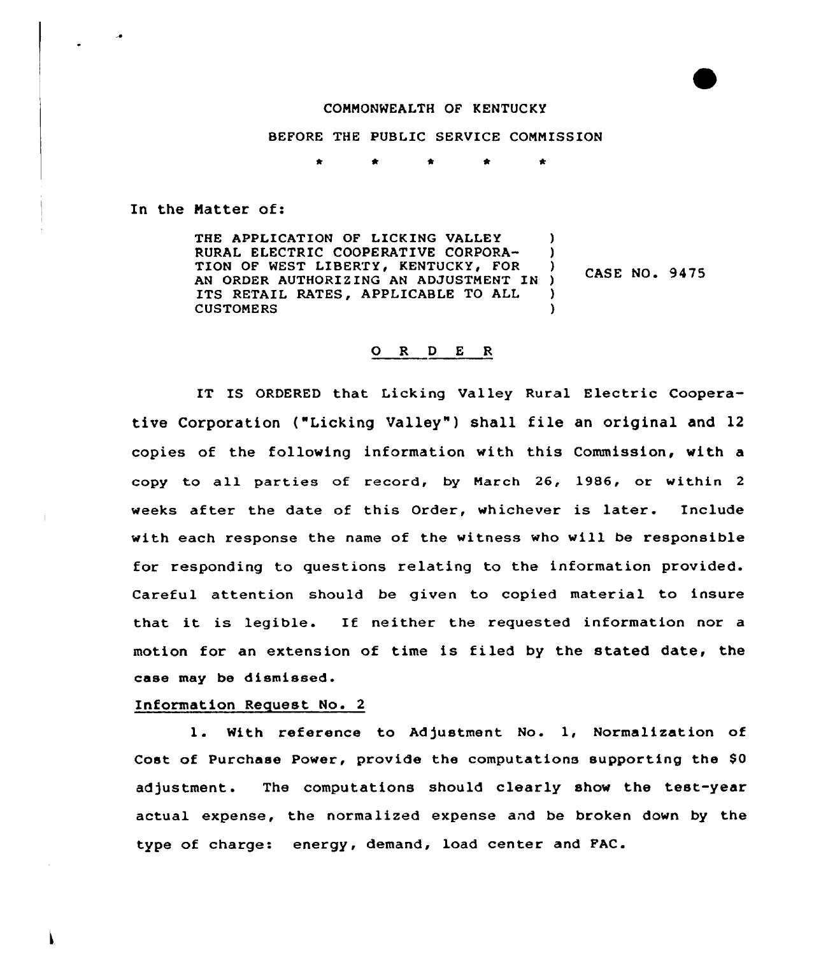## COMMONWEALTH OF KENTUCKY

BEFORE THE PUBLIC SERVICE COMMISSION

ė ÷

In the Natter of:

THE APPLICATION OF LICKING VALLEY RURAL ELECTRIC COOPERATIVE CORPORA-TION OF WEST LIBERTY, KENTUCKY, FOR AN ORDER AUTHORIZING AN ADJUSTMENT IN ITS RETAIL RATES, APPLICABLE TO ALL CUSTOMERS ) )<br>) CASE NO. 9475 ) ) )

## 0 <sup>R</sup> <sup>D</sup> <sup>E</sup> <sup>R</sup>

IT IS ORDERED that Licking Valley Rural Electric Cooperative Corporation ("Licking Valley" ) shall file an original and <sup>12</sup> copies of the following information with this Commission, with a copy to all parties of record, by March 26, 1986, or within <sup>2</sup> weeks after the date of this Order, whichever is later. Include with each response the name of the witness who vill be responsible for responding to questions relating to the information provided. Careful attention should be given to copied material to insure that it is legible. If neither the requested information nor <sup>a</sup> motion for an extension of time is filed by the stated date, the case may be dismissed.

## Information Request No. 2

1. With reference to Adjustment No. 1, Normalization of Cost of Purchase Power, provide the computations supporting the \$0 adjustment. The computations should clearly show the test-year actual expense, the normalized expense and be broken down by the type of charge: energy, demand, load center and FAC.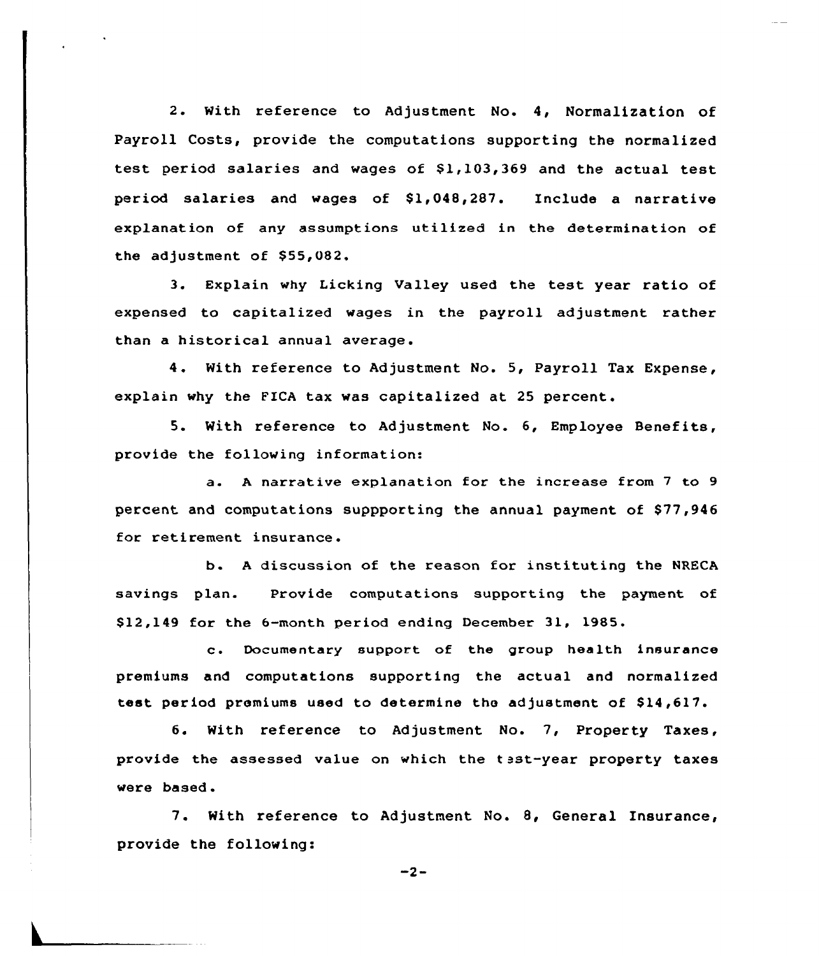2. With reference to Adjustment No. 4, Normalization of Payroll Costs, provide the computations supporting the normalized test period salaries and wages of \$1,103,369 and the actual test period salaries and wages of  $$1,048,287$ . Include a narrative explanation of any assumptions utilized in the determination of the adjustment of \$55,082.

3. Explain why Licking Valley used the test year ratio of expensed to capitalized wages in the payroll adjustment rather than a historical annual average.

4. With reference to Adjustment No. 5, Payroll Tax Expense, explain why the FICA tax was capitalized at 25 percent.

5. With reference to Adjustment No. 6, Employee Benefits, provide the following information:

a. A narrative explanation for the increase from 7 to 9 percent and computations suppporting the annual payment of \$77,946 for retirement insurance.

b. <sup>A</sup> discussion of the reason for instituting the NRECA savings plan. Provide computations supporting the payment of \$ 12,149 for the 6-month period ending December 31, 1985.

c. Documentary support of the group health insurance premiums and computations supporting the actual and normalized test period premiums used to determine the adjustment of \$14,617.

6. With reference to Adjustment No. 7, Property Taxes, provide the assessed value on which the test-year property taxes were based.

7. With reference to Adjustment No. 8, General Insurance, provide the following:

 $-2-$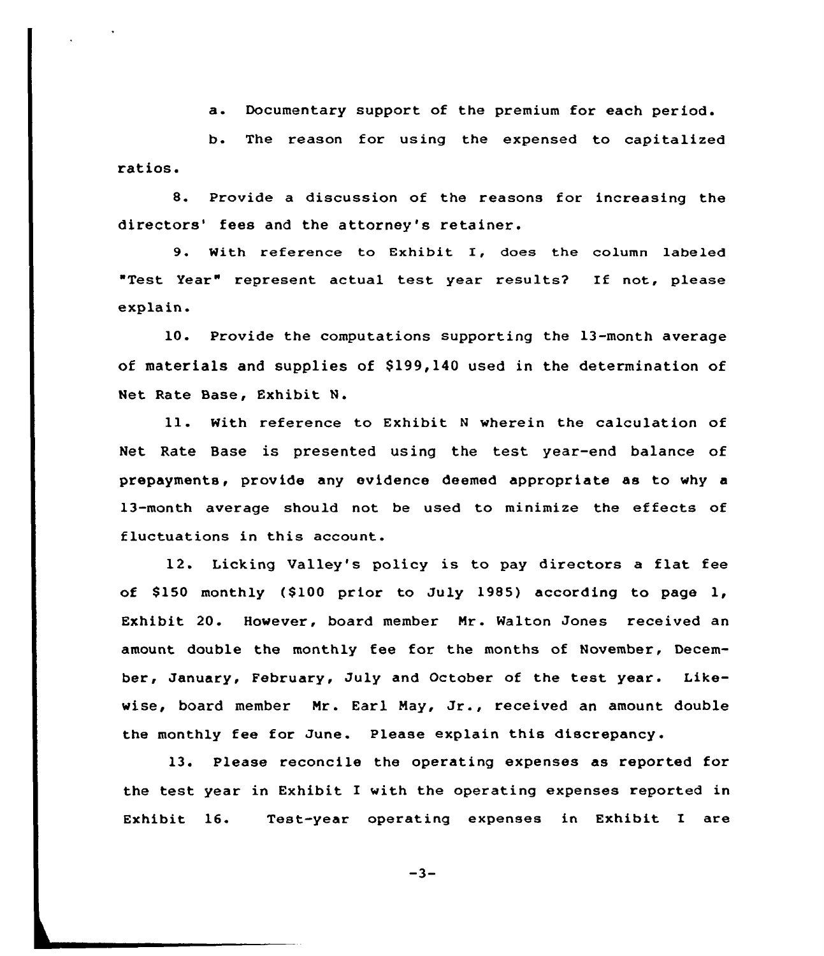a. Documentary support of the premium for each period.

b. The reason for using the expensed to capitalized ratios.

8. Provide a discussion of the reasons for increasing the directors' fees and the attorney's retainer.

9. With reference to Exhibit I, does the column labeled "Test Year" represent actual test year results? If not, please explain.

10. Provide the computations supporting the 13-month average of materials and supplies of \$199,140 used in the determination of Net Rate Base, Exhibit N.

ll. With reference to Exhibit <sup>N</sup> wherein the calculation of Net Rate Base is presented using the test year-end balance of prepayments, provide any evidence deemed appropriate as to why a 13-month average should not be used to minimize the effects of fluctuations in this account.

12. Licking Valley's policy is to pay directors a flat fee of \$150 monthly (\$100 prior to July 1985) according to page 1, Exhibit 20. However, board member Nr. Walton Jones received an amount double the monthly fee for the months of November, December, January, February, July and October of the test year. Likewise, board member Nr. Earl May, Jr., received an amount double the monthly fee for June. Please explain this discrepancy.

13. Please reconcile the operating expenses as reported for the test year in Exhibit I with the operating expenses reported in Exhibit 16. Test-year operating expenses in Exhibit I are

 $-3-$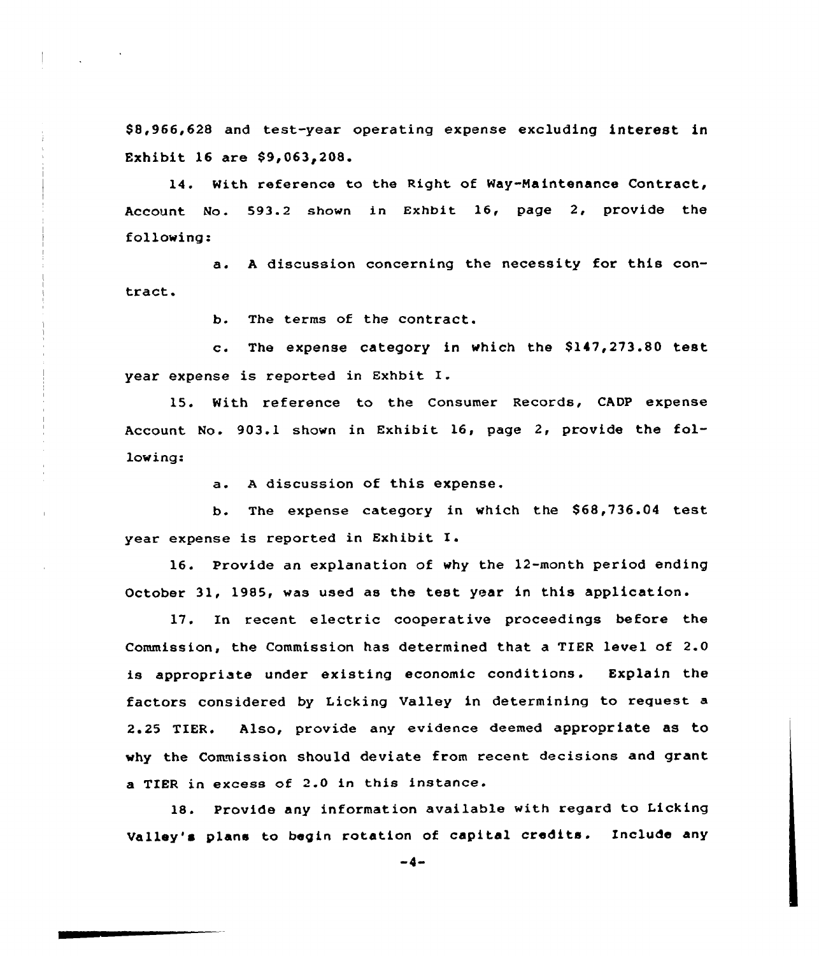88,966,628 and test-year operating expense excluding interest in Exhibit 16 are  $$9,063,208.$ 

14. With reference to the Right of Way-Maintenance Contract, Account No. 593.2 shown in Exhbit 16, page 2, provide the following:

a. <sup>A</sup> discussion concerning the necessity for this contract.

b. The terms of the contract.

c. The expense category in which the  $$147,273.80$  test year expense is reported in Exhbit I.

15. With reference to the Consumer Records, CADP expense Account No. 903.1 shown in Exhibit 16, page 2, provide the following:

a. A discussion of this expense.

b. The expense category in which the \$68,736.04 test year expense is reported in Exhibit

16. Provide an explanation of why the 12-month period ending October 31, 1985, was used as the test year in this application.

17. In recent electric cooperative proceedings before the Commission, the Commission has determined that a TIER level of 2.0 is appropriate under existing economic conditions. Explain the factors considered by Licking Valley in determining to request a 2.25 TIER. Also, provide any evidence deemed appropriate as to why the Commission should deviate from recent decisions and grant a TIER in excess of 2.0 in this instance.

18. Provide any information available with regard to Licking Valley's plans to begin rotation of capital credits. Include any

 $-4-$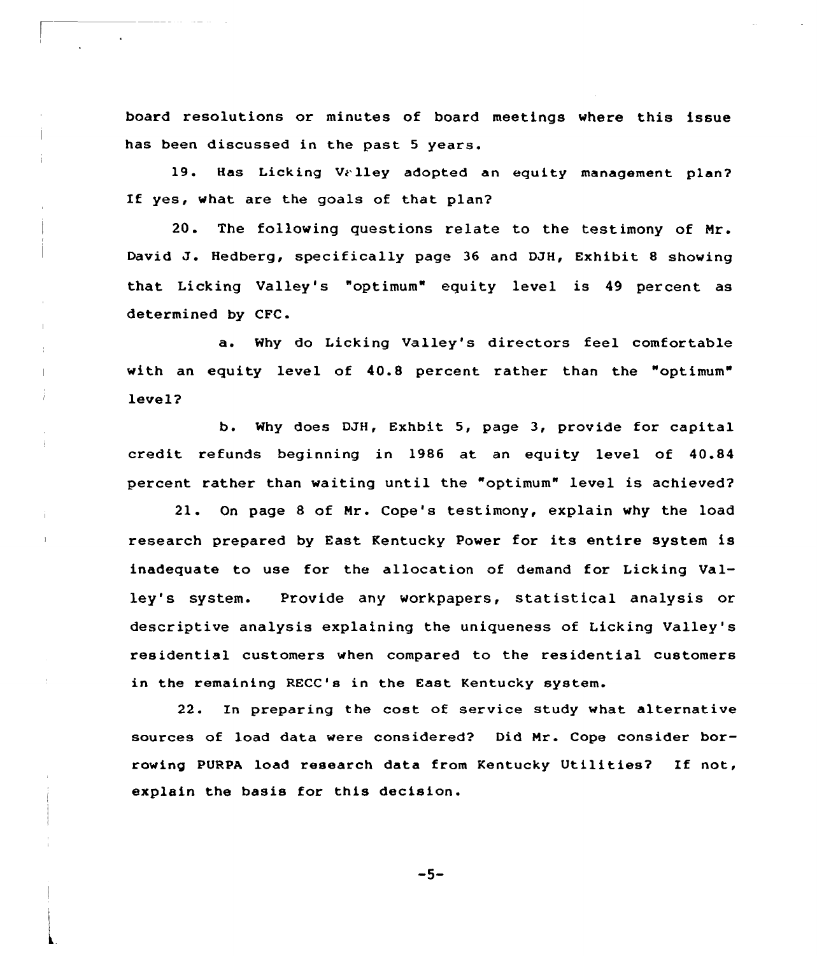board resolutions or minutes of board meetings where this issue has been discussed in the past 5 years.

19. Has Licking Valley adopted an equity management plan? If yes, what are the goals of that plan?

20. The following questions relate to the testimony of Nr. David J. Hedberg, specifically page <sup>36</sup> and DJH, Exhibit <sup>8</sup> showing that Licking Valley's "optimum" equity level is 49 percent as determined by CFC.

a. Why do Licking Valley's directors feel comfortable with an equity level of 40.8 percent rather than the "optimum" level?

b. Why does DJH, Exhbit 5, page 3, provide for capital credit refunds beginning in 1986 at an equity level of 40.84 percent rather than waiting until the "optimum" level is achieved?

21. On page 8 of Nr. Cope's testimony, explain why the load research prepared by East Kentucky Power for its entire system is inadequate to use for the allocation of demand for Licking Valley's system. Provide any workpapers, statistical analysis or descriptive analysis explaining the uniqueness of Licking Valley's residential customers when compared to the residential customers in the remaining RECC's in the East Kentucky system.

22. In preparing the cost of service study what alternative sources of load data were considered? Did Mr. Cope consider borrowing PURPA load research data from Kentucky Utilities? If not, explain the basis for this decision.

 $-5-$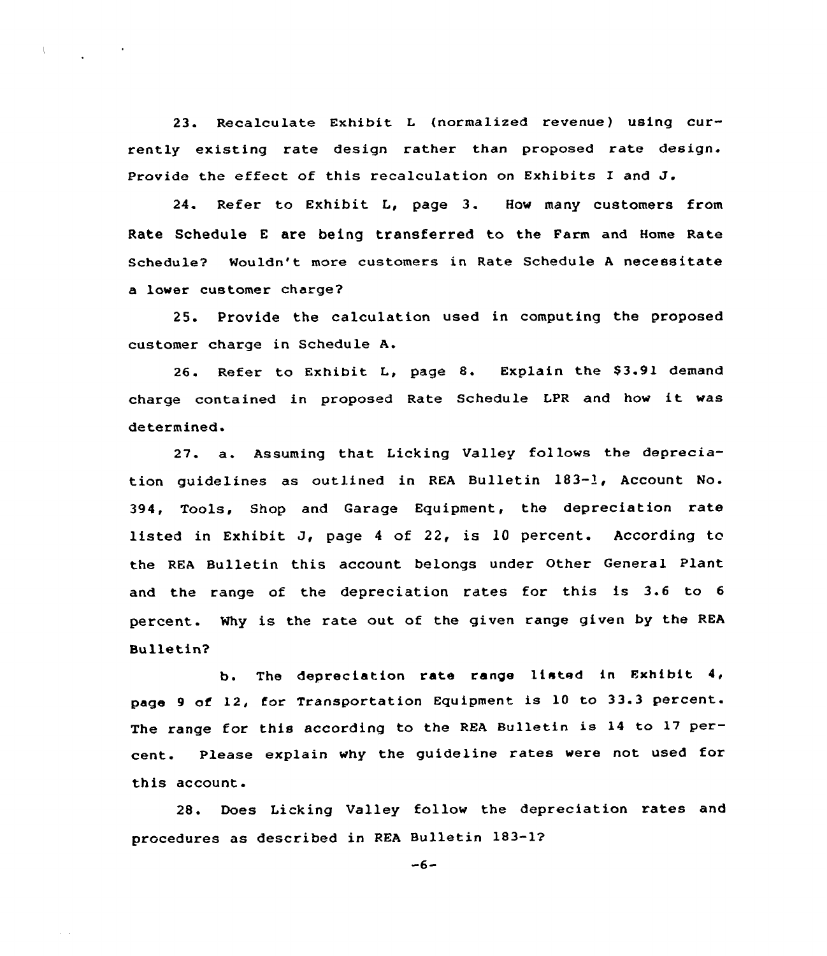23. Recalculate Exhibit <sup>L</sup> (normalized revenue) using currently existing rate design rather than proposed rate design. Provide the effect of this recalculation on Exhibits <sup>I</sup> and J.

24. Refer to Exhibit L, page 3. How many customers from Rate Schedule <sup>E</sup> are being transferred to the Farm and Home Rate Schedule? Mouldn't more customers in Rate Schedule <sup>A</sup> necessitate a lower customer charge?

25. Provide the calculation used in computing the proposed customer charge in Schedule A.

26. Refer to Exhibit L, page 8. Explain the \$3.91 demand charge contained in proposed Rate Schedule LPR and how it was determined.

<sup>27</sup> a. Assuming that Licking Valley follows the depreciation guidelines as outlined in REA Bulletin 1S3-1, Account No. 394, Tools, Shop and Garage Equipment, the depreciation rate listed in Exhibit J, page <sup>4</sup> of 22, is 1Q percent. According to the REA Bulletin this account belongs under Other General Plant and the range of the depreciation rates for this is 3.6 to <sup>6</sup> percent. Why is the rate out of the given range given by the REA Bulletin?

b. The depreciation rate range listed in Exhibit 4, page <sup>9</sup> of 12, for Transportation Equipment is <sup>10</sup> to 33.3 percent. The range for this according to the REA Bulletin ie <sup>14</sup> to 17 percent. Please explain why the guideline rates were not used for this account.

28. Does Licking Valley follow the depreciation rates and procedures as described in REA Bulletin 183-1?

 $-6-$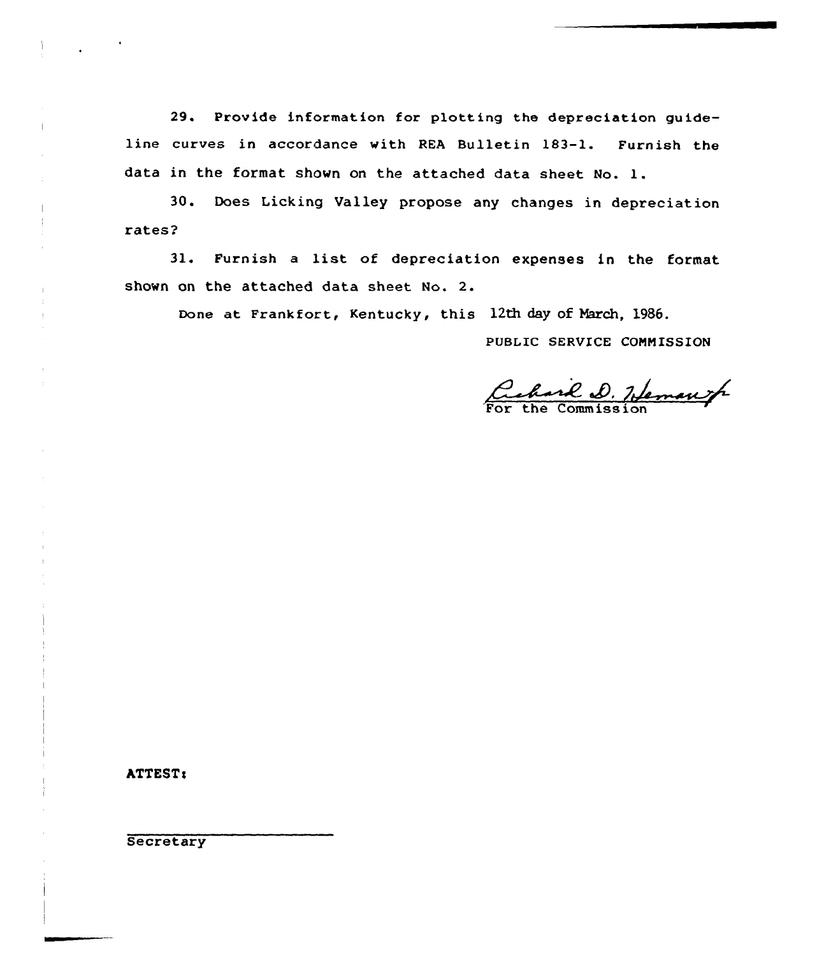29. Provide information for plotting the depreciation guideline curves in accordance with REA Bulletin 183-1. Furnish the data in the format shown on the attached data sheet No. 1.

30. Does Licking Valley propose any changes in depreciation rates?

31. Furnish <sup>a</sup> list of depreciation expenses in the format shown on the attached data sheet No. 2.

Done at Frankfort, Kentucky, this 12th day of March, 1986.

PUBLIC SERVICE CONNISSION

Cehard D. Hemans

ATTEST:

 $\mathbf i$ 

 $\overline{\phantom{a}}$  $\frac{1}{2}$ 

**Secretary**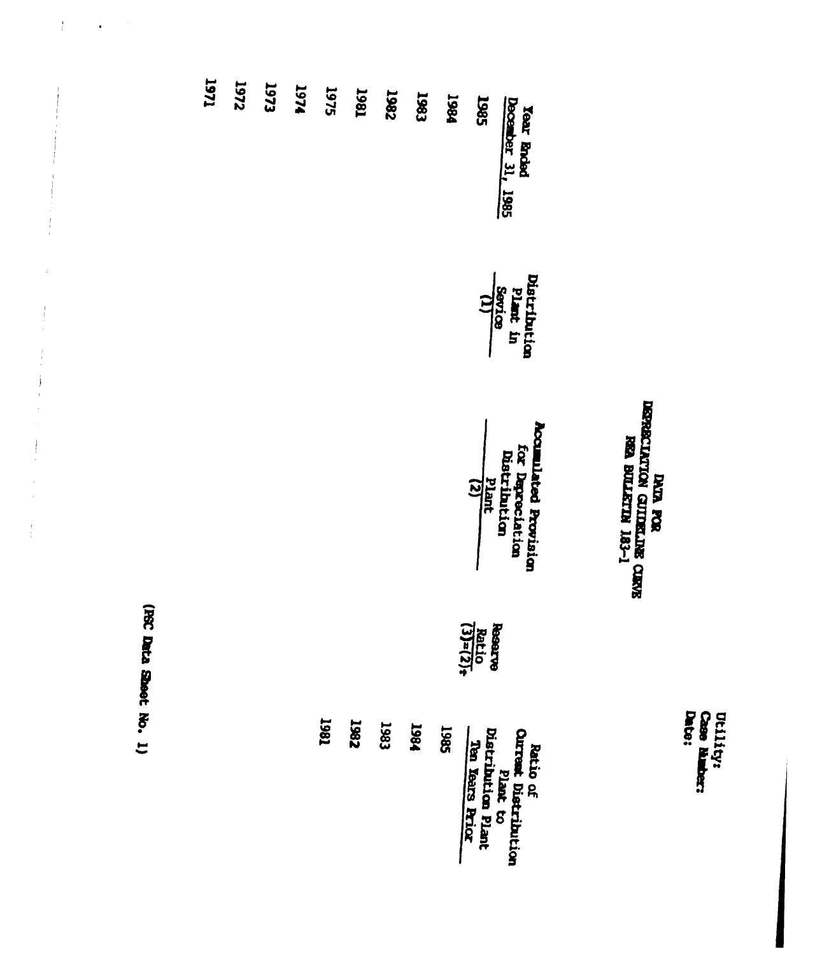Utility:<br>Case Number:<br>Date:

## DERECIATION FOR REAL PROPERTY CERVE<br>BERECIATION CULTERING CERVE<br>REA BULLETIN 183-1

| 1271 | <b>Z</b> 251 | 1973 | 1974 | 1975 | <b>T867</b> | 1982 | 1983 | 1984 | 1985<br>Year Ended<br>December 31, 1985                                                      |  |
|------|--------------|------|------|------|-------------|------|------|------|----------------------------------------------------------------------------------------------|--|
|      |              |      |      |      |             |      |      |      | Distribution<br>Plant in<br>Sevice<br>(1)<br>(1)                                             |  |
|      |              |      |      |      |             |      |      |      | <b>Accuulated Provision</b><br>for Dapreciation<br>Distribution<br>Plant<br>(2)<br>(2)       |  |
|      |              |      |      |      |             |      |      |      | $\frac{\text{Reenerge}}{\text{Rattio}}$                                                      |  |
|      |              |      |      | 1981 | <b>1982</b> | 1983 | 1981 | 1985 | Ratio of<br>Ourreat Distribution<br>Distribution Plant<br>Ten Rears Rriox<br>Ten Rears Rriox |  |

(FSC Data Sheet No. 1)

 $\frac{1}{k}$ 

 $\bar{1}$ 

 $\begin{array}{c} 1 \\ 1 \\ 1 \end{array}$ 

 $\begin{array}{c} 1 \\ 1 \\ 2 \\ 3 \\ 4 \end{array}$ 

 $\begin{array}{c} \frac{1}{2} & \frac{1}{2} \\ \frac{1}{2} & \frac{1}{2} \\ \frac{1}{2} & \frac{1}{2} \end{array}$ 

 $\overline{\overline{a}}$ 

 $\frac{1}{4}$ 

 $\ddot{\phantom{a}}$